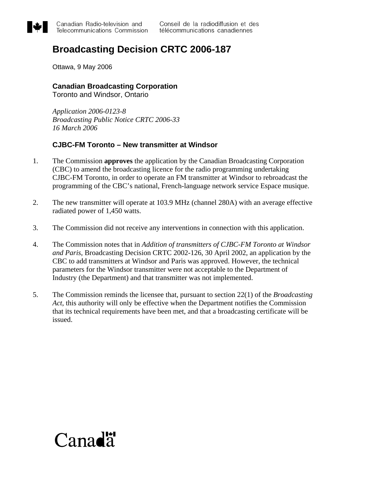

## **Broadcasting Decision CRTC 2006-187**

Ottawa, 9 May 2006

## **Canadian Broadcasting Corporation**

Toronto and Windsor, Ontario

*Application 2006-0123-8 Broadcasting Public Notice CRTC 2006-33 16 March 2006* 

## **CJBC-FM Toronto – New transmitter at Windsor**

- 1. The Commission **approves** the application by the Canadian Broadcasting Corporation (CBC) to amend the broadcasting licence for the radio programming undertaking CJBC-FM Toronto, in order to operate an FM transmitter at Windsor to rebroadcast the programming of the CBC's national, French-language network service Espace musique.
- 2. The new transmitter will operate at 103.9 MHz (channel 280A) with an average effective radiated power of 1,450 watts.
- 3. The Commission did not receive any interventions in connection with this application.
- 4. The Commission notes that in *Addition of transmitters of CJBC-FM Toronto at Windsor and Paris*, Broadcasting Decision CRTC 2002-126, 30 April 2002, an application by the CBC to add transmitters at Windsor and Paris was approved. However, the technical parameters for the Windsor transmitter were not acceptable to the Department of Industry (the Department) and that transmitter was not implemented.
- 5. The Commission reminds the licensee that, pursuant to section 22(1) of the *Broadcasting Act*, this authority will only be effective when the Department notifies the Commission that its technical requirements have been met, and that a broadcasting certificate will be issued.